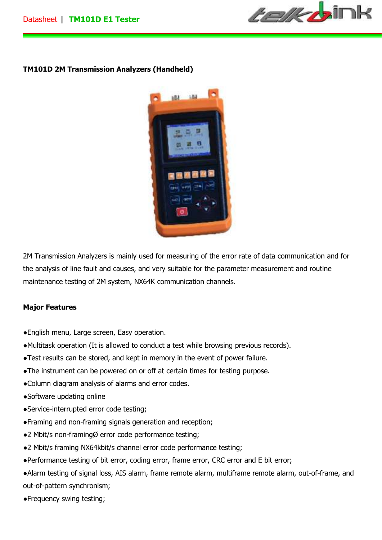*telk b*int

# **TM101D 2M Transmission Analyzers (Handheld)**



2M Transmission Analyzers is mainly used for measuring of the error rate of data communication and for the analysis of line fault and causes, and very suitable for the parameter measurement and routine maintenance testing of 2M system, NX64K communication channels.

### **Major Features**

- ●English menu, Large screen, Easy operation.
- ●Multitask operation (It is allowed to conduct a test while browsing previous records).
- ●Test results can be stored, and kept in memory in the event of power failure.
- ●The instrument can be powered on or off at certain times for testing purpose.
- ●Column diagram analysis of alarms and error codes.
- ●Software updating online
- ●Service-interrupted error code testing;
- ●Framing and non-framing signals generation and reception;
- ●2 Mbit/s non-framingØ error code performance testing;
- ●2 Mbit/s framing NX64kbit/s channel error code performance testing;
- ●Performance testing of bit error, coding error, frame error, CRC error and E bit error;
- ●Alarm testing of signal loss, AIS alarm, frame remote alarm, multiframe remote alarm, out-of-frame, and out-of-pattern synchronism;
- ●Frequency swing testing;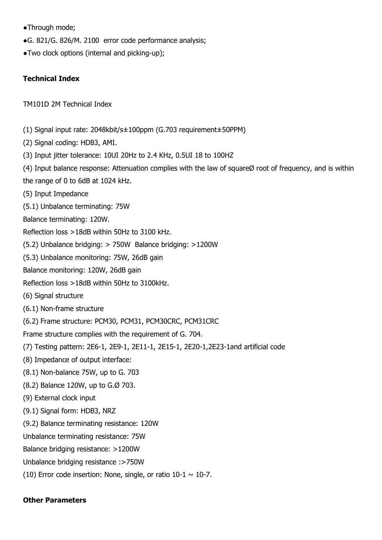- ●Through mode;
- ●G. 821/G. 826/M. 2100 error code performance analysis;
- ●Two clock options (internal and picking-up);

## **Technical Index**

TM101D 2M Technical Index

- (1) Signal input rate: 2048kbit/s±100ppm (G.703 requirement±50PPM)
- (2) Signal coding: HDB3, AMI.
- (3) Input jitter tolerance: 10UI 20Hz to 2.4 KHz, 0.5UI 18 to 100HZ
- (4) Input balance response: Attenuation complies with the law of squareØ root of frequency, and is within
- the range of 0 to 6dB at 1024 kHz.
- (5) Input Impedance
- (5.1) Unbalance terminating: 75W
- Balance terminating: 120W.
- Reflection loss >18dB within 50Hz to 3100 kHz.
- (5.2) Unbalance bridging: > 750W Balance bridging: >1200W
- (5.3) Unbalance monitoring: 75W, 26dB gain
- Balance monitoring: 120W, 26dB gain
- Reflection loss >18dB within 50Hz to 3100kHz.
- (6) Signal structure
- (6.1) Non-frame structure
- (6.2) Frame structure: PCM30, PCM31, PCM30CRC, PCM31CRC
- Frame structure complies with the requirement of G. 704.
- (7) Testing pattern: 2E6-1, 2E9-1, 2E11-1, 2E15-1, 2E20-1,2E23-1and artificial code
- (8) Impedance of output interface:
- (8.1) Non-balance 75W, up to G. 703
- (8.2) Balance 120W, up to G.Ø 703.
- (9) External clock input
- (9.1) Signal form: HDB3, NRZ
- (9.2) Balance terminating resistance: 120W
- Unbalance terminating resistance: 75W
- Balance bridging resistance: >1200W
- Unbalance bridging resistance :>750W
- (10) Error code insertion: None, single, or ratio  $10-1 \sim 10-7$ .

### **Other Parameters**